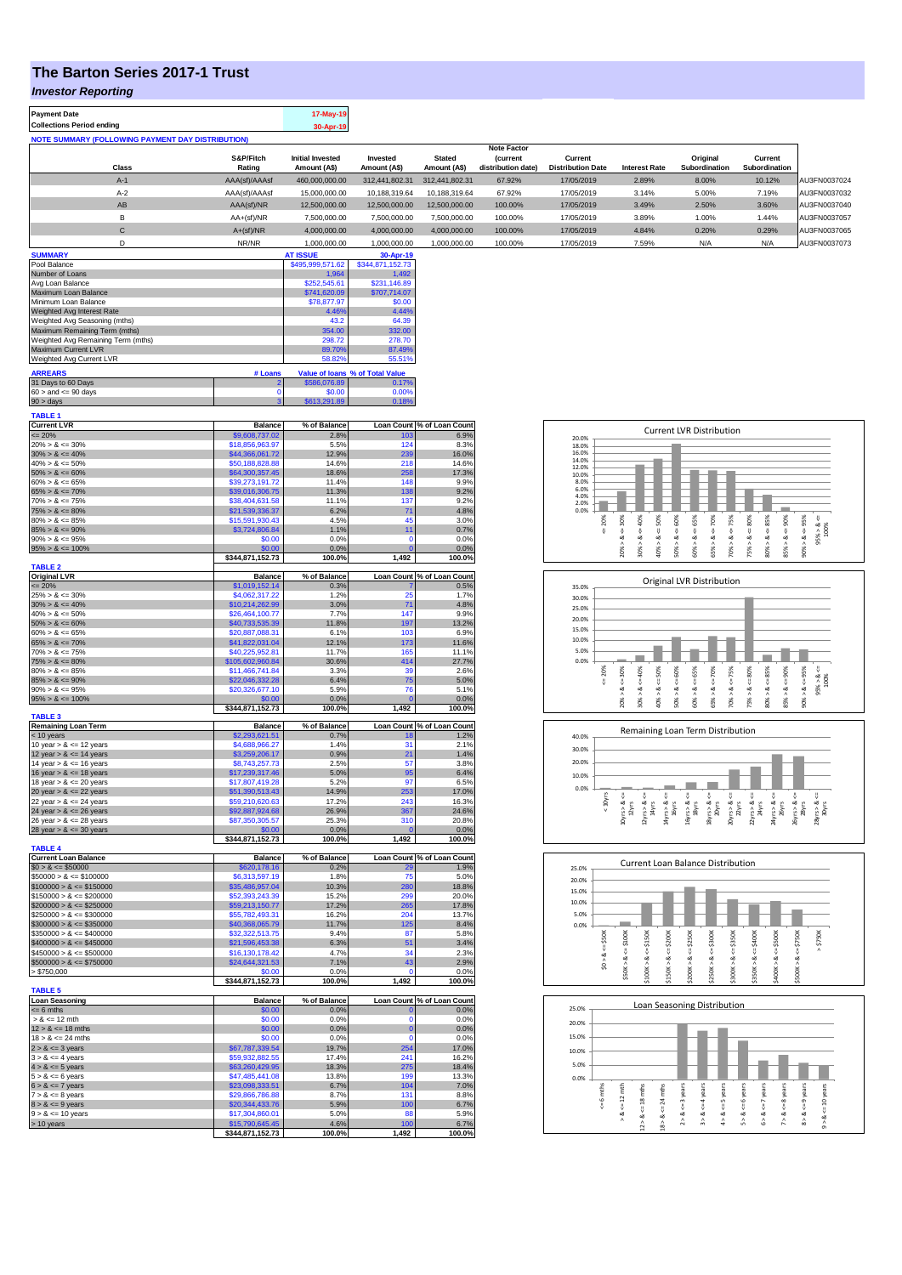## **The Barton Series 2017-1 Trust**

### *Investor Reporting*

| <b>Payment Date</b>                                      |               | 17-May-19               |                |                |                    |                          |                      |               |               |              |
|----------------------------------------------------------|---------------|-------------------------|----------------|----------------|--------------------|--------------------------|----------------------|---------------|---------------|--------------|
| <b>Collections Period ending</b>                         |               | 30-Apr-19               |                |                |                    |                          |                      |               |               |              |
| <b>NOTE SUMMARY (FOLLOWING PAYMENT DAY DISTRIBUTION)</b> |               |                         |                |                |                    |                          |                      |               |               |              |
|                                                          |               |                         |                |                | <b>Note Factor</b> |                          |                      |               |               |              |
|                                                          | S&P/Fitch     | <b>Initial Invested</b> | Invested       | <b>Stated</b>  | <b>(current</b>    | Current                  |                      | Original      | Current       |              |
| <b>Class</b>                                             | Rating        | Amount (A\$)            | Amount (A\$)   | Amount (A\$)   | distribution date) | <b>Distribution Date</b> | <b>Interest Rate</b> | Subordination | Subordination |              |
| $A-1$                                                    | AAA(sf)/AAAsf | 460,000,000.00          | 312,441,802.31 | 312.441.802.31 | 67.92%             | 17/05/2019               | 2.89%                | 8.00%         | 10.12%        | AU3FN0037024 |
| $A-2$                                                    | AAA(sf)/AAAsf | 15,000,000,00           | 10.188.319.64  | 10.188.319.64  | 67.92%             | 17/05/2019               | 3.14%                | 5.00%         | 7.19%         | AU3FN0037032 |
| AB                                                       | AAA(sf)/NR    | 12.500.000.00           | 12.500.000.00  | 12,500,000,00  | 100.00%            | 17/05/2019               | 3.49%                | 2.50%         | 3.60%         | AU3FN0037040 |
| в                                                        | $AA+(sf)/NR$  | 7.500.000.00            | 7,500,000.00   | 7.500.000.00   | 100.00%            | 17/05/2019               | 3.89%                | 1.00%         | 1.44%         | AU3FN0037057 |
| С                                                        | $A+(sf)/NR$   | 4.000.000.00            | 4.000.000.00   | 4,000,000.00   | 100.00%            | 17/05/2019               | 4.84%                | 0.20%         | 0.29%         | AU3FN0037065 |
| D                                                        | NR/NR         | 1.000.000.00            | 1.000.000.00   | 1.000.000.00   | 100.00%            | 17/05/2019               | 7.59%                | N/A           | N/A           | AU3FN0037073 |

| <b>SUMMARY</b>                     |              | <b>AT ISSUE</b>  | 30-Apr-19                       |
|------------------------------------|--------------|------------------|---------------------------------|
| Pool Balance                       |              | \$495,999,571.62 | \$344,871,152.73                |
| Number of Loans                    |              | 1.964            | 1.492                           |
| Avg Loan Balance                   |              | \$252,545.61     | \$231,146.89                    |
| Maximum Loan Balance               | \$741,620.09 | \$707,714.07     |                                 |
| Minimum Loan Balance               | \$78,877.97  | \$0.00           |                                 |
| Weighted Avg Interest Rate         |              | 4.46%            | 4.44%                           |
| Weighted Avg Seasoning (mths)      |              | 43.2             | 64.39                           |
| Maximum Remaining Term (mths)      | 354.00       | 332.00           |                                 |
| Weighted Avg Remaining Term (mths) | 298.72       | 278.70           |                                 |
| Maximum Current LVR                | 89.70%       | 87.49%           |                                 |
| Weighted Avg Current LVR           |              | 58.82%           | 55.51%                          |
| <b>ARREARS</b>                     | # Loans      |                  | Value of Ioans % of Total Value |
| 31 Days to 60 Days                 | 2            | \$586,076.89     | 0.17%                           |
| $60 >$ and $\leq 90$ days          | 0            | \$0.00           | 0.00%                           |
| $90 >$ days                        | 3            | \$613,291.89     | 0.18%                           |

| <b>TABLE 1</b>                             |                                    |                |                |                            |
|--------------------------------------------|------------------------------------|----------------|----------------|----------------------------|
| <b>Current LVR</b>                         | <b>Balance</b>                     | % of Balance   |                | Loan Count % of Loan Count |
| $= 20%$                                    | \$9,608,737.02                     | 2.8%           | 103            | 6.9%                       |
| $20\% > 8 \le 30\%$<br>$30\% > 8 \le 40\%$ | \$18,856,963.97                    | 5.5%           | 124<br>239     | 8.3%<br>16.0%              |
| $40\% > 8 \le 50\%$                        | \$44,366,061.72<br>\$50,188,828.88 | 12.9%<br>14.6% | 218            | 14.6%                      |
| $50\% > 8 \le 60\%$                        | \$64,300,357.45                    | 18.6%          | 258            | 17.3%                      |
| $60\% > 8 \le 65\%$                        | \$39,273,191.72                    | 11.4%          | 148            | 9.9%                       |
| $65\% > 8 \le 70\%$                        | \$39,016,306.75                    | 11.3%          | 138            | 9.2%                       |
| $70\% > 8 \le 75\%$                        | \$38,404,631.58                    | 11.1%          | 137            | 9.2%                       |
| $75\% > 8 \le 80\%$                        | \$21,539,336.37                    | 6.2%           | 71             | 4.8%                       |
| $80\% > 8 \le 85\%$                        | \$15,591,930.43                    | 4.5%           | 45             | 3.0%                       |
| $85\% > 8 \le 90\%$                        | \$3,724,806.84                     | 1.1%           | 11             | 0.7%                       |
| $90\% > 8 \le 95\%$                        | \$0.00                             | 0.0%           | $\Omega$       | 0.0%                       |
| $95\% > 8 \le 100\%$                       | \$0.00                             | 0.0%           | $\mathbf 0$    | 0.0%                       |
|                                            | \$344,871,152.73                   | 100.0%         | 1,492          | 100.0%                     |
| <b>TABLE 2</b>                             |                                    |                |                |                            |
| <b>Original LVR</b>                        | <b>Balance</b>                     | % of Balance   |                | Loan Count % of Loan Count |
| $= 20%$                                    | \$1,019,152.14                     | 0.3%           | 25             | 0.5%                       |
| $25\% > 8 \le 30\%$                        | \$4,062,317.22                     | 1.2%           |                | 1.7%                       |
| $30\% > 8 \le 40\%$<br>$40\% > 8 \le 50\%$ | \$10,214,262.99<br>\$26,464,100.77 | 3.0%<br>7.7%   | 71<br>147      | 4.8%<br>9.9%               |
| $50\% > 8 \le 60\%$                        | \$40,733,535.39                    | 11.8%          |                | 13.2%                      |
| $60\% > 8 \le 65\%$                        | \$20,887,088.31                    | 6.1%           | 197<br>103     | 6.9%                       |
| $65\% > 8 \le 70\%$                        | \$41,822,031.04                    | 12.1%          | 173            | 11.6%                      |
| $70\% > 8 \le 75\%$                        | \$40,225,952.81                    | 11.7%          | 165            | 11.1%                      |
| $75\% > 8 \le 80\%$                        | \$105,602,960.84                   | 30.6%          | 414            | 27.7%                      |
| $80\% > 8 \le 85\%$                        | \$11,466,741.84                    | 3.3%           | 39             | 2.6%                       |
| $85\% > 8 \le 90\%$                        | \$22,046,332.28                    | 6.4%           | 75             | 5.0%                       |
| $90\% > 8 \le 95\%$                        | \$20,326,677.10                    | 5.9%           | 76             | 5.1%                       |
| $95\% > 8 \le 100\%$                       | \$0.00                             | 0.0%           | $\Omega$       | 0.0%                       |
|                                            | \$344,871,152.73                   | 100.0%         | 1,492          | 100.0%                     |
| <b>TABLE 3</b>                             |                                    |                |                |                            |
| <b>Remaining Loan Term</b>                 | <b>Balance</b>                     | % of Balance   |                | Loan Count % of Loan Count |
| < 10 years                                 | \$2,293,621.51                     | 0.7%           | 18             | 1.2%                       |
| 10 year $> 8 \le 12$ years                 | \$4,688,966.27                     | 1.4%           | 31             | 2.1%                       |
| 12 year $> 8 \le 14$ years                 | \$3,259,206.17                     | 0.9%           | 21             | 1.4%                       |
| 14 year > & <= 16 years                    | \$8,743,257.73                     | 2.5%           | 57             | 3.8%                       |
| 16 year $> 8 \le 18$ years                 | \$17,239,317.46                    | 5.0%           | 95             | 6.4%                       |
| 18 year $> 8 \le 20$ years                 | \$17,807,419.28                    | 5.2%           | 97             | 6.5%                       |
| 20 year $> 8 \le 22$ years                 | \$51,390,513.43                    | 14.9%          | 253            | 17.0%                      |
| 22 year $> 8 \le 24$ years                 | \$59,210,620.63                    | 17.2%          | 243            | 16.3%                      |
| 24 year $> 8 \le 26$ years                 | \$92,887,924.68<br>\$87,350,305.57 | 26.9%<br>25.3% | 367<br>310     | 24.6%<br>20.8%             |
| 26 year $> 8 \le 28$ years                 | \$0.00                             | 0.0%           | $\overline{0}$ | 0.0%                       |
| 28 year $> 8 \le 30$ years                 | \$344,871,152.73                   | 100.0%         | 1,492          | 100.0%                     |
| <b>TABLE 4</b>                             |                                    |                |                |                            |
| <b>Current Loan Balance</b>                | <b>Balance</b>                     | % of Balance   |                | Loan Count % of Loan Count |
| $$0 > 8 \le $50000$                        | \$620,178.16                       | 0.2%           | 29             | 1.9%                       |
| $$50000 > 8 \le $100000$                   | \$6,313,597.19                     | 1.8%           | 75             | 5.0%                       |
| $$100000 > 8 \le $150000$                  | \$35,486,957.04                    | 10.3%          | 280            | 18.8%                      |
| $$150000 > 8 \le $200000$                  | \$52,393,243.39                    | 15.2%          | 299            | 20.0%                      |
| $$200000 > 8 \leq $250000$                 | \$59,213,150.77                    | 17.2%          | 265            | 17.8%                      |
| $$250000 > 8 \leq $300000$                 | \$55,782,493.31                    | 16.2%          | 204            | 13.7%                      |
| $$300000 > 8 \le $350000$                  | \$40,368,065.79                    | 11.7%          | 125            | 8.4%                       |
| $$350000 > 8 \le $400000$                  | \$32,322,513.75                    | 9.4%           | 87             | 5.8%                       |
| $$400000 > 8 \le $450000$                  | \$21,596,453.38                    | 6.3%           | 51             | 3.4%                       |
| $$450000 > 8 \le $500000$                  | \$16,130,178.42                    | 4.7%           | 34             | 2.3%                       |
| $$500000 > 8 \le $750000$                  | \$24,644,321.53                    | 7.1%           | 43             | 2.9%                       |
| > \$750,000                                | \$0.00                             | 0.0%           | n              | 0.0%                       |
|                                            | \$344,871,152.73                   | 100.0%         | 1,492          | 100.0%                     |
| <b>TABLE 5</b><br><b>Loan Seasoning</b>    | <b>Balance</b>                     | % of Balance   |                | Loan Count % of Loan Count |
| $= 6$ mths                                 | \$0.00                             | 0.0%           | O              | 0.0%                       |
| $> 8 \le 12$ mth                           | \$0.00                             | 0.0%           | $\mathbf 0$    | 0.0%                       |
| $12 > 8 \le 18$ mths                       | \$0.00                             | 0.0%           | $\mathbf 0$    | 0.0%                       |
| $18 > 8 \le 24$ mths                       | \$0.00                             | 0.0%           | $\mathbf 0$    | 0.0%                       |
| $2 > 8 \le 3$ years                        | \$67,787,339.54                    | 19.7%          | 254            | 17.0%                      |
| $3 > 8 \le 4$ years                        | \$59,932,882.55                    | 17.4%          | 241            | 16.2%                      |
| $4 > 8 \le 5$ years                        | \$63,260,429.95                    | 18.3%          | 275            | 18.4%                      |
| $5 > 8 \le 6$ years                        | \$47,485,441.08                    | 13.8%          | 199            | 13.3%                      |
| $6 > 8 \le 7$ years                        | \$23,098,333.51                    | 6.7%           | 104            | 7.0%                       |
| $7 > 8 \le 8$ years                        | \$29,866,786.88                    | 8.7%           | 131            | 8.8%                       |
| $8 > 8 \le 9$ years                        | \$20,344,433.76                    | 5.9%           | 100            | 6.7%                       |
| $9 > 8 \le 10$ years                       | \$17,304,860.01                    | 5.0%           | 88             | 5.9%                       |
|                                            |                                    |                |                |                            |
| > 10 years                                 | \$15,790,645.45                    | 4.6%           | 100            | 6.7%                       |
|                                            | \$344,871,152.73                   | 100.0%         | 1,492          | 100.0%                     |

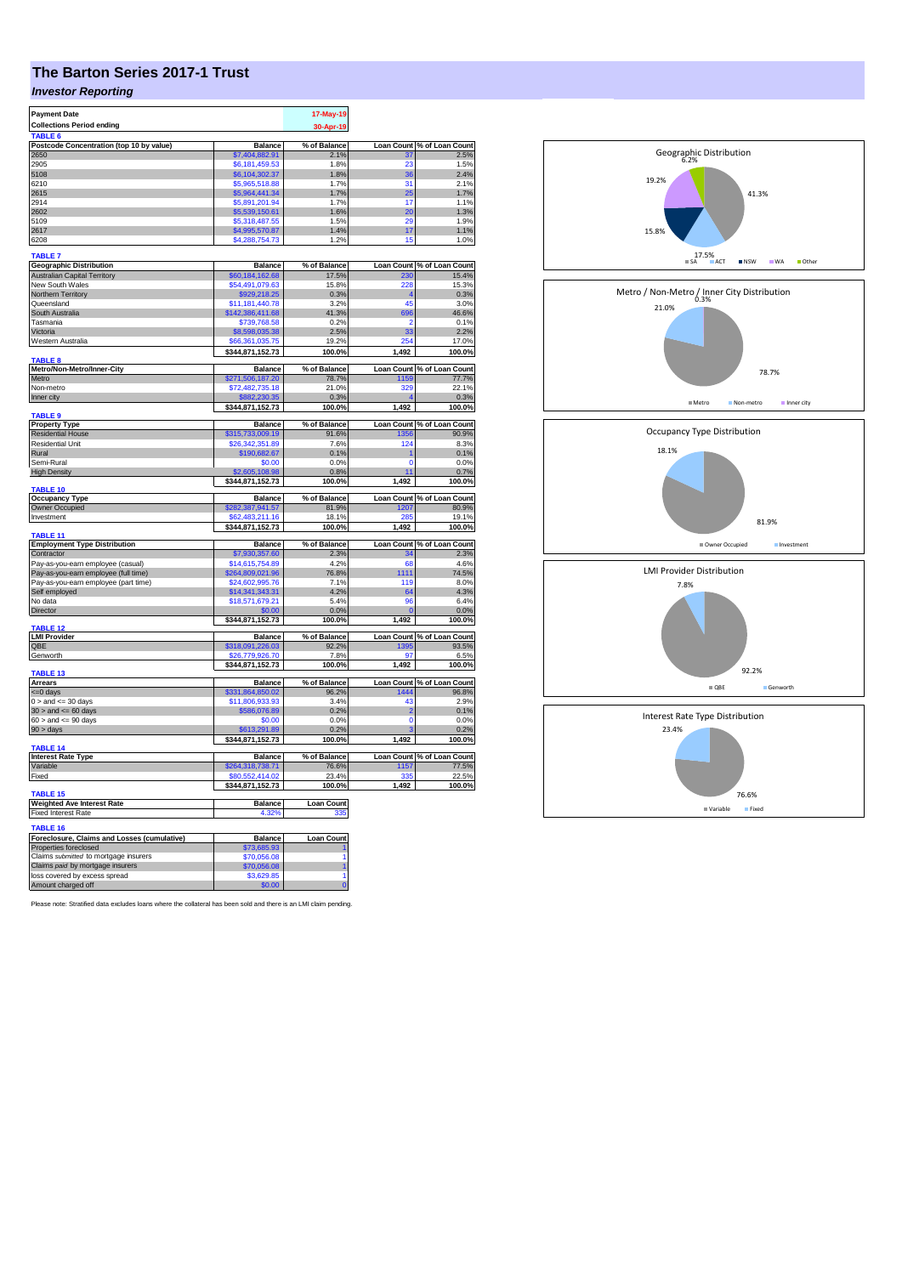# **The Barton Series 2017-1 Trust**

## *Investor Reporting*

| <b>Payment Date</b>                         |                      | 17-May-19         |                |                            |
|---------------------------------------------|----------------------|-------------------|----------------|----------------------------|
| <b>Collections Period ending</b>            |                      |                   |                |                            |
|                                             |                      | 30-Apr-19         |                |                            |
| <b>TABLE</b>                                |                      |                   |                |                            |
| Postcode Concentration (top 10 by value)    | <b>Balance</b>       | % of Balance      |                | Loan Count % of Loan Count |
| 2650                                        | \$7,404,882.91       | 2.1%              | 37             | 2.5%                       |
| 2905                                        | \$6,181,459.53       | 1.8%              | 23             | 1.5%                       |
| 5108                                        | \$6,104,302.37       | 1.8%              | 36             | 2.4%                       |
| 6210                                        | \$5,965,518.88       | 1.7%              | 31             | 2.1%                       |
| 2615                                        | \$5,964,441.34       | 1.7%              | 25             | 1.7%                       |
| 2914                                        | \$5,891,201.94       | 1.7%              | 17             | 1.1%                       |
| 2602                                        | \$5,539,150.61       | 1.6%              | 20             | 1.3%                       |
| 5109                                        | \$5,318,487.55       | 1.5%              | 20             | 1.9%                       |
| 2617                                        | \$4,995,570.87       | 1.4%              | 17             | 1.1%                       |
| 6208                                        | \$4,288,754.73       | 1.2%              | 15             | 1.0%                       |
|                                             |                      |                   |                |                            |
| <b>TABLE 7</b>                              |                      |                   |                |                            |
| <b>Geographic Distribution</b>              | Balance              | % of Balance      |                | Loan Count % of Loan Count |
| <b>Australian Capital Territory</b>         | 60, 184, 162. 68     | 17.5%             |                | 15.4%                      |
| New South Wales                             | \$54,491,079.63      | 15.8%             | 228            | 15.3%                      |
| Northern Territory                          | \$929,218.25         | 0.3%              |                | 0.3%                       |
|                                             |                      |                   | 45             |                            |
| Queensland                                  | \$11,181,440.78      | 3.2%              |                | 3.0%                       |
| South Australia                             | \$142,386,411.68     | 41.3%             | 696            | 46.6%                      |
| Tasmania                                    | \$739,768.58         | 0.2%              | 2              | 0.1%                       |
| Victoria                                    | \$8,598,035.38       | 2.5%              | 33             | 2.2%                       |
| Western Australia                           | \$66,361,035,75      | 19.2%             | 254            | 17.0%                      |
|                                             | \$344,871,152.73     | 100.0%            | 1,492          | 100.0%                     |
| <b>TABLE 8</b>                              |                      |                   |                |                            |
| Metro/Non-Metro/Inner-City                  | <b>Balance</b>       | % of Balance      |                | Loan Count % of Loan Count |
| Metro                                       | \$271,506,187.20     | 78.7%             | 1159           | 77.7%                      |
| Non-metro                                   | \$72,482,735.18      | 21.0%             | 329            | 22.1%                      |
| Inner city                                  | \$882,230.35         | 0.3%              |                | 0.3%                       |
|                                             | \$344,871,152.73     | 100.0%            | 1,492          | 100.0%                     |
| TABLE 9                                     |                      |                   |                |                            |
| <b>Property Type</b>                        | <b>Balance</b>       | % of Balance      |                | Loan Count % of Loan Count |
| <b>Residential House</b>                    | \$315,733,009.19     | 91.6%             | 1356           | 90.9%                      |
| <b>Residential Unit</b>                     | \$26,342,351.89      | 7.6%              | 124            | 8.3%                       |
|                                             |                      |                   |                |                            |
| Rural                                       | \$190,682.67         | 0.1%              | 1              | 0.1%                       |
| Semi-Rural                                  | \$0.00               | 0.0%              | $\Omega$       | 0.0%                       |
| <b>High Density</b>                         | \$2,605,108.98       | 0.8%              | 11             | 0.7%                       |
|                                             | \$344,871,152.73     | 100.0%            | 1,492          | 100.0%                     |
| TABLE 10                                    |                      |                   |                |                            |
| <b>Occupancy Type</b>                       | <b>Balance</b>       | % of Balance      |                | Loan Count % of Loan Count |
| Owner Occupied                              | \$282,387,941.57     | 81.9%             | 1207           | 80.9%                      |
| Investment                                  | \$62,483,211,16      | 18.1%             | 285            | 19.1%                      |
|                                             | \$344,871,152.73     | 100.0%            | 1,492          | 100.0%                     |
| TABLE 11                                    |                      |                   |                |                            |
| <b>Employment Type Distribution</b>         | <b>Balance</b>       | % of Balance      |                | Loan Count % of Loan Count |
| Contractor                                  | \$7,930,357.60       | 2.3%              |                | 2.3%                       |
| Pay-as-you-earn employee (casual)           | \$14,615,754.89      | 4.2%              | 68             | 4.6%                       |
| Pay-as-you-earn employee (full time)        | \$264,809,021.96     | 76.8%             | 1111           | 74.5%                      |
| Pay-as-you-earn employee (part time)        | \$24,602,995.76      | 7.1%              | 119            | 8.0%                       |
| Self employed                               | \$14,341,343.31      | 4.2%              | 64             | 4.3%                       |
| No data                                     | \$18,571,679.21      | 5.4%              | 96             | 6.4%                       |
| Director                                    | \$0.00               | 0.0%              |                | 0.0%                       |
|                                             | \$344,871,152.73     | 100.0%            | 1,492          | 100.0%                     |
| TABLE <sub>12</sub>                         |                      |                   |                |                            |
| <b>LMI Provider</b>                         | <b>Balance</b>       | % of Balance      |                | Loan Count % of Loan Count |
| OBE                                         | \$318,091,226.03     | 92.2%             | 1395           | 93.5%                      |
|                                             |                      |                   | 97             |                            |
| Genworth                                    | \$26,779,926.70      | 7.8%              |                | 6.5%                       |
|                                             | \$344,871,152.73     | 100.0%            | 1,492          | 100.0%                     |
| TABLE 13<br><b>Arrears</b>                  |                      | % of Balance      |                | Loan Count % of Loan Count |
|                                             | Balance              |                   |                |                            |
| <= 0 days                                   | \$331,864,850.02     | 96.2%             | 1444           | 96.8%                      |
| $0 >$ and $\leq$ 30 days                    | \$11,806,933.93      | 3.4%              | 43             | 2.9%                       |
| $30$ > and <= 60 days                       | \$586,076.89         | 0.2%              | $\overline{a}$ | 0.1%                       |
| $60 >$ and $\leq 90$ days                   | \$0.00               | 0.0%              | $\Omega$       | 0.0%                       |
| 90 > days                                   | \$613,291.89         | 0.2%              |                | 0.2%                       |
|                                             | \$344,871,152.73     | 100.0%            | 1,492          | 100.0%                     |
| TABLE 14                                    |                      |                   |                |                            |
| <b>Interest Rate Type</b>                   | <b>Balance</b>       | % of Balance      |                | Loan Count % of Loan Count |
| Variable                                    | \$264,318,738.71     | 76.6%             | 1157           | 77.5%                      |
| Fixed                                       | \$80,552,414.02      | 23.4%             | 335            | 22.5%                      |
|                                             | \$344,871,152.73     | 100.0%            | 1.492          | 100.0%                     |
| TABLE 15                                    |                      |                   |                |                            |
| <b>Weighted Ave Interest Rate</b>           | Balance              | <b>Loan Count</b> |                |                            |
| <b>Fixed Interest Rate</b>                  | 4.32%                | 335               |                |                            |
|                                             |                      |                   |                |                            |
| <b>TABLE 16</b>                             |                      |                   |                |                            |
| Foreclosure, Claims and Losses (cumulative) | <b>Balance</b>       | <b>Loan Count</b> |                |                            |
| Properties foreclosed                       | \$73,685.93          |                   |                |                            |
| Claims submitted to mortgage insurers       | \$70,056.08          | 1                 |                |                            |
| Claims paid by mortgage insurers            | \$70,056.08          |                   |                |                            |
|                                             |                      |                   |                |                            |
| loss covered by excess spread               | \$3,629.85<br>\$0.00 | 1                 |                |                            |
| Amount charged off                          |                      | $\overline{0}$    |                |                            |

Please note: Stratified data excludes loans where the collateral has been sold and there is an LMI claim pending.